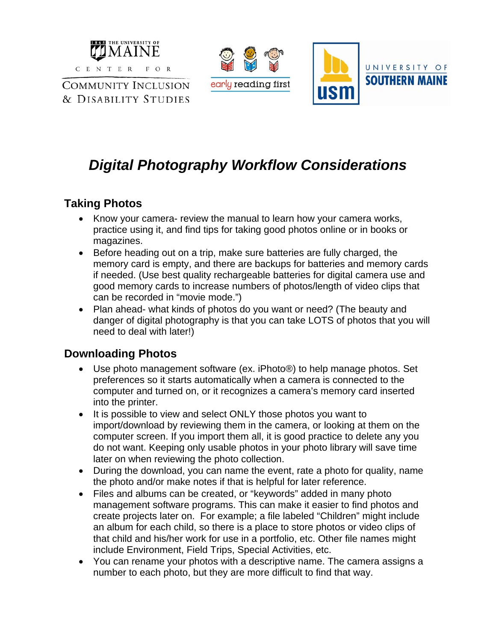

**COMMUNITY INCLUSION** & DISABILITY STUDIES





# *Digital Photography Workflow Considerations*

### **Taking Photos**

- Know your camera- review the manual to learn how your camera works, practice using it, and find tips for taking good photos online or in books or magazines.
- Before heading out on a trip, make sure batteries are fully charged, the memory card is empty, and there are backups for batteries and memory cards if needed. (Use best quality rechargeable batteries for digital camera use and good memory cards to increase numbers of photos/length of video clips that can be recorded in "movie mode.")
- Plan ahead- what kinds of photos do you want or need? (The beauty and danger of digital photography is that you can take LOTS of photos that you will need to deal with later!)

### **Downloading Photos**

- Use photo management software (ex. iPhoto®) to help manage photos. Set preferences so it starts automatically when a camera is connected to the computer and turned on, or it recognizes a camera's memory card inserted into the printer.
- It is possible to view and select ONLY those photos you want to import/download by reviewing them in the camera, or looking at them on the computer screen. If you import them all, it is good practice to delete any you do not want. Keeping only usable photos in your photo library will save time later on when reviewing the photo collection.
- During the download, you can name the event, rate a photo for quality, name the photo and/or make notes if that is helpful for later reference.
- Files and albums can be created, or "keywords" added in many photo management software programs. This can make it easier to find photos and create projects later on. For example; a file labeled "Children" might include an album for each child, so there is a place to store photos or video clips of that child and his/her work for use in a portfolio, etc. Other file names might include Environment, Field Trips, Special Activities, etc.
- You can rename your photos with a descriptive name. The camera assigns a number to each photo, but they are more difficult to find that way.